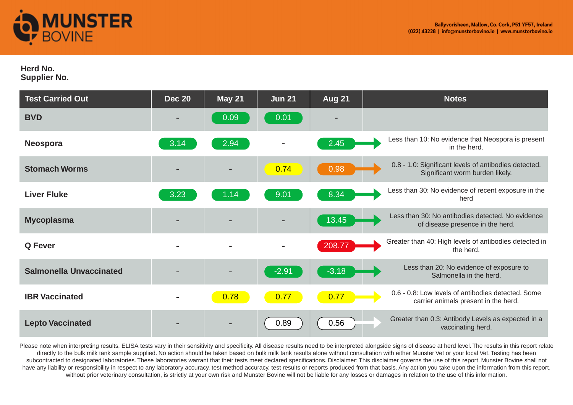

## **Herd No.**

**Supplier No.** 

| <b>Test Carried Out</b>        | <b>Dec 20</b>            | <b>May 21</b> | Jun 21  | <b>Aug 21</b> | <b>Notes</b>                                                                               |
|--------------------------------|--------------------------|---------------|---------|---------------|--------------------------------------------------------------------------------------------|
| <b>BVD</b>                     | $\overline{\phantom{a}}$ | 0.09          | 0.01    |               |                                                                                            |
| <b>Neospora</b>                | 3.14                     | 2.94          |         | 2.45          | Less than 10: No evidence that Neospora is present<br>in the herd.                         |
| <b>Stomach Worms</b>           |                          |               | 0.74    | 0.98          | 0.8 - 1.0: Significant levels of antibodies detected.<br>Significant worm burden likely.   |
| <b>Liver Fluke</b>             | 3.23                     | 1.14          | 9.01    | 8.34          | Less than 30: No evidence of recent exposure in the<br>herd                                |
| <b>Mycoplasma</b>              |                          |               |         | 13.45         | Less than 30: No antibodies detected. No evidence<br>of disease presence in the herd.      |
| <b>Q</b> Fever                 | $\blacksquare$           |               |         | 208.77        | Greater than 40: High levels of antibodies detected in<br>the herd.                        |
| <b>Salmonella Unvaccinated</b> |                          |               | $-2.91$ | $-3.18$       | Less than 20: No evidence of exposure to<br>Salmonella in the herd.                        |
| <b>IBR Vaccinated</b>          | $\blacksquare$           | 0.78          | 0.77    | 0.77          | 0.6 - 0.8: Low levels of antibodies detected. Some<br>carrier animals present in the herd. |
| <b>Lepto Vaccinated</b>        |                          |               | 0.89    | 0.56          | Greater than 0.3: Antibody Levels as expected in a<br>vaccinating herd.                    |

Please note when interpreting results, ELISA tests vary in their sensitivity and specificity. All disease results need to be interpreted alongside signs of disease at herd level. The results in this report relate directly to the bulk milk tank sample supplied. No action should be taken based on bulk milk tank results alone without consultation with either Munster Vet or your local Vet. Testing has been subcontracted to designated laboratories. These laboratories warrant that their tests meet declared specifications. Disclaimer: This disclaimer governs the use of this report. Munster Bovine shall not have any liability or responsibility in respect to any laboratory accuracy, test method accuracy, test results or reports produced from that basis. Any action you take upon the information from this report, without prior veterinary consultation, is strictly at your own risk and Munster Bovine will not be liable for any losses or damages in relation to the use of this information.